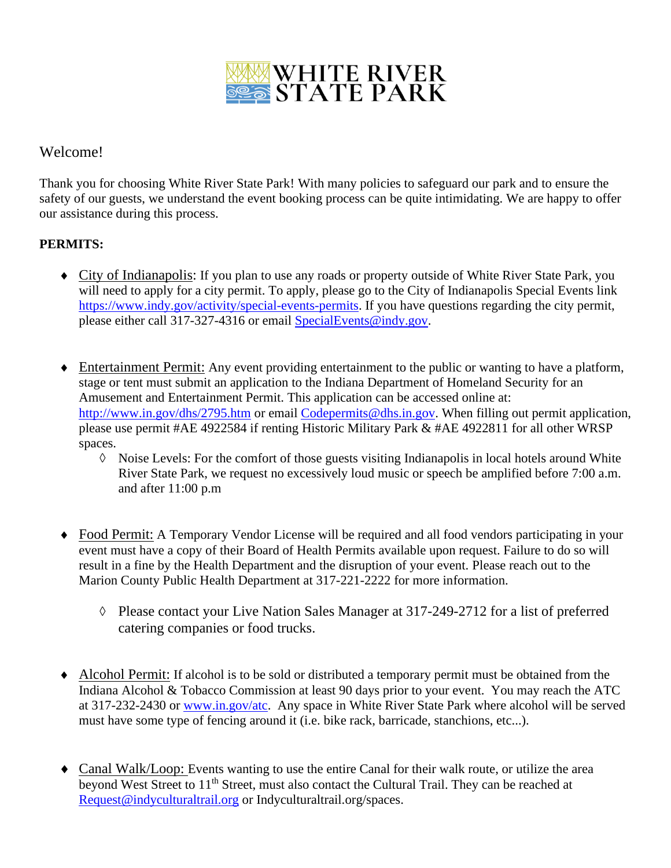

## Welcome!

Thank you for choosing White River State Park! With many policies to safeguard our park and to ensure the safety of our guests, we understand the event booking process can be quite intimidating. We are happy to offer our assistance during this process.

### **PERMITS:**

- City of Indianapolis: If you plan to use any roads or property outside of White River State Park, you will need to apply for a city permit. To apply, please go to the City of Indianapolis Special Events link [https://www.indy.gov/activity/special-events-permits.](https://www.indy.gov/activity/special-events-permits) If you have questions regarding the city permit, please either call 317-327-4316 or email [SpecialEvents@indy.gov.](mailto:SpecialEvents@indy.gov)
- Entertainment Permit: Any event providing entertainment to the public or wanting to have a platform, stage or tent must submit an application to the Indiana Department of Homeland Security for an Amusement and Entertainment Permit. This application can be accessed online at: <http://www.in.gov/dhs/2795.htm> or email [Codepermits@dhs.in.gov.](mailto:Codepermits@dhs.in.gov) When filling out permit application, please use permit #AE 4922584 if renting Historic Military Park & #AE 4922811 for all other WRSP spaces.
	- ◊ Noise Levels: For the comfort of those guests visiting Indianapolis in local hotels around White River State Park, we request no excessively loud music or speech be amplified before 7:00 a.m. and after 11:00 p.m
- Food Permit: A Temporary Vendor License will be required and all food vendors participating in your event must have a copy of their Board of Health Permits available upon request. Failure to do so will result in a fine by the Health Department and the disruption of your event. Please reach out to the Marion County Public Health Department at 317-221-2222 for more information.
	- ◊ Please contact your Live Nation Sales Manager at 317-249-2712 for a list of preferred catering companies or food trucks.
- Alcohol Permit: If alcohol is to be sold or distributed a temporary permit must be obtained from the Indiana Alcohol & Tobacco Commission at least 90 days prior to your event. You may reach the ATC at 317-232-2430 or [www.in.gov/atc.](http://www.in.gov/atc) Any space in White River State Park where alcohol will be served must have some type of fencing around it (i.e. bike rack, barricade, stanchions, etc...).
- Canal Walk/Loop: Events wanting to use the entire Canal for their walk route, or utilize the area beyond West Street to 11<sup>th</sup> Street, must also contact the Cultural Trail. They can be reached at [Request@indyculturaltrail.org](mailto:Request@indyculturaltrail.org) or Indyculturaltrail.org/spaces.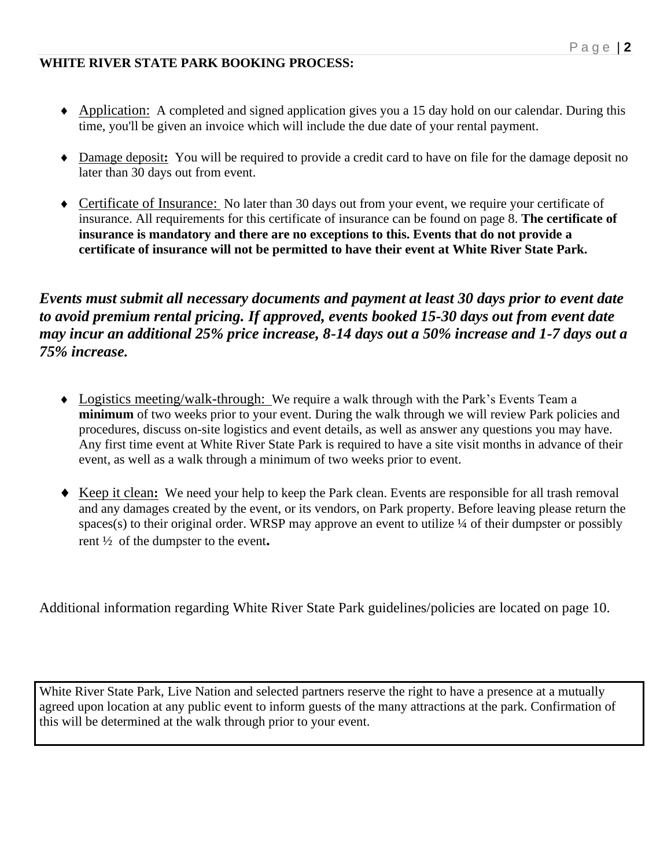### **WHITE RIVER STATE PARK BOOKING PROCESS:**

- Application: A completed and signed application gives you a 15 day hold on our calendar. During this time, you'll be given an invoice which will include the due date of your rental payment.
- Damage deposit**:** You will be required to provide a credit card to have on file for the damage deposit no later than 30 days out from event.
- Certificate of Insurance: No later than 30 days out from your event, we require your certificate of insurance. All requirements for this certificate of insurance can be found on page 8. **The certificate of insurance is mandatory and there are no exceptions to this. Events that do not provide a certificate of insurance will not be permitted to have their event at White River State Park.**

*Events must submit all necessary documents and payment at least 30 days prior to event date to avoid premium rental pricing. If approved, events booked 15-30 days out from event date may incur an additional 25% price increase, 8-14 days out a 50% increase and 1-7 days out a 75% increase.*

- Logistics meeting/walk-through: We require a walk through with the Park's Events Team a **minimum** of two weeks prior to your event. During the walk through we will review Park policies and procedures, discuss on-site logistics and event details, as well as answer any questions you may have. Any first time event at White River State Park is required to have a site visit months in advance of their event, as well as a walk through a minimum of two weeks prior to event.
- Keep it clean**:** We need your help to keep the Park clean. Events are responsible for all trash removal and any damages created by the event, or its vendors, on Park property. Before leaving please return the spaces(s) to their original order. WRSP may approve an event to utilize  $\frac{1}{4}$  of their dumpster or possibly rent ½ of the dumpster to the event**.**

Additional information regarding White River State Park guidelines/policies are located on page 10.

White River State Park, Live Nation and selected partners reserve the right to have a presence at a mutually agreed upon location at any public event to inform guests of the many attractions at the park. Confirmation of this will be determined at the walk through prior to your event.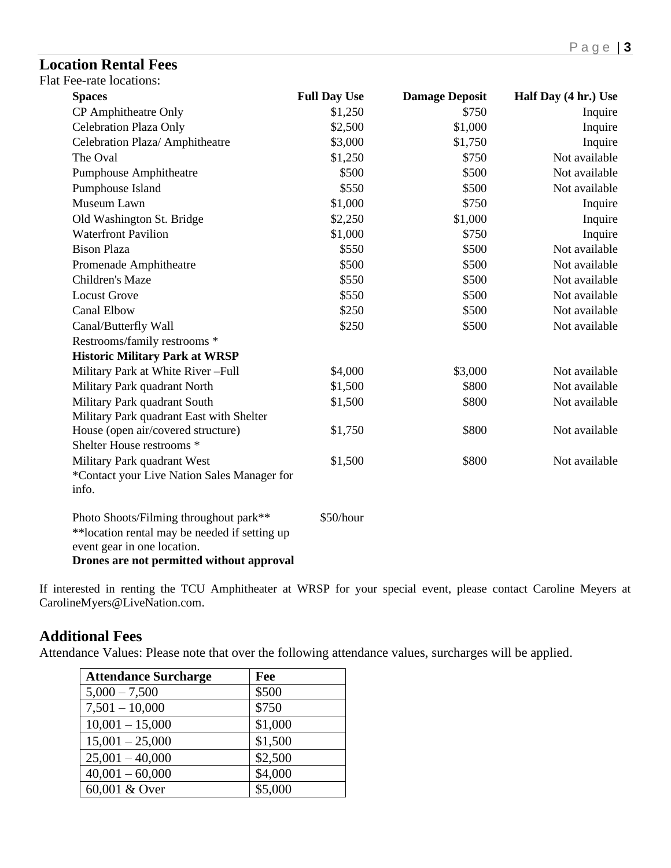# **Location Rental Fees**

| <b>Flat Fee-rate locations:</b> |  |
|---------------------------------|--|
|---------------------------------|--|

| <b>Spaces</b>                                  | <b>Full Day Use</b> | <b>Damage Deposit</b> | Half Day (4 hr.) Use |
|------------------------------------------------|---------------------|-----------------------|----------------------|
| CP Amphitheatre Only                           | \$1,250             | \$750                 | Inquire              |
| <b>Celebration Plaza Only</b>                  | \$2,500             | \$1,000               | Inquire              |
| Celebration Plaza/ Amphitheatre                | \$3,000             | \$1,750               | Inquire              |
| The Oval                                       | \$1,250             | \$750                 | Not available        |
| Pumphouse Amphitheatre                         | \$500               | \$500                 | Not available        |
| Pumphouse Island                               | \$550               | \$500                 | Not available        |
| Museum Lawn                                    | \$1,000             | \$750                 | Inquire              |
| Old Washington St. Bridge                      | \$2,250             | \$1,000               | Inquire              |
| <b>Waterfront Pavilion</b>                     | \$1,000             | \$750                 | Inquire              |
| <b>Bison Plaza</b>                             | \$550               | \$500                 | Not available        |
| Promenade Amphitheatre                         | \$500               | \$500                 | Not available        |
| Children's Maze                                | \$550               | \$500                 | Not available        |
| <b>Locust Grove</b>                            | \$550               | \$500                 | Not available        |
| <b>Canal Elbow</b>                             | \$250               | \$500                 | Not available        |
| Canal/Butterfly Wall                           | \$250               | \$500                 | Not available        |
| Restrooms/family restrooms *                   |                     |                       |                      |
| <b>Historic Military Park at WRSP</b>          |                     |                       |                      |
| Military Park at White River-Full              | \$4,000             | \$3,000               | Not available        |
| Military Park quadrant North                   | \$1,500             | \$800                 | Not available        |
| Military Park quadrant South                   | \$1,500             | \$800                 | Not available        |
| Military Park quadrant East with Shelter       |                     |                       |                      |
| House (open air/covered structure)             | \$1,750             | \$800                 | Not available        |
| Shelter House restrooms *                      |                     |                       |                      |
| Military Park quadrant West                    | \$1,500             | \$800                 | Not available        |
| *Contact your Live Nation Sales Manager for    |                     |                       |                      |
| info.                                          |                     |                       |                      |
| Photo Shoots/Filming throughout park**         | \$50/hour           |                       |                      |
| ** location rental may be needed if setting up |                     |                       |                      |
| event gear in one location.                    |                     |                       |                      |
| Drones are not permitted without approval      |                     |                       |                      |

If interested in renting the TCU Amphitheater at WRSP for your special event, please contact Caroline Meyers at CarolineMyers@LiveNation.com.

# **Additional Fees**

Attendance Values: Please note that over the following attendance values, surcharges will be applied.

| <b>Attendance Surcharge</b> | Fee     |
|-----------------------------|---------|
| $5,000 - 7,500$             | \$500   |
| $7,501 - 10,000$            | \$750   |
| $10,001 - 15,000$           | \$1,000 |
| $15,001 - 25,000$           | \$1,500 |
| $25,001 - 40,000$           | \$2,500 |
| $40,001 - 60,000$           | \$4,000 |
| 60,001 & Over               | \$5,000 |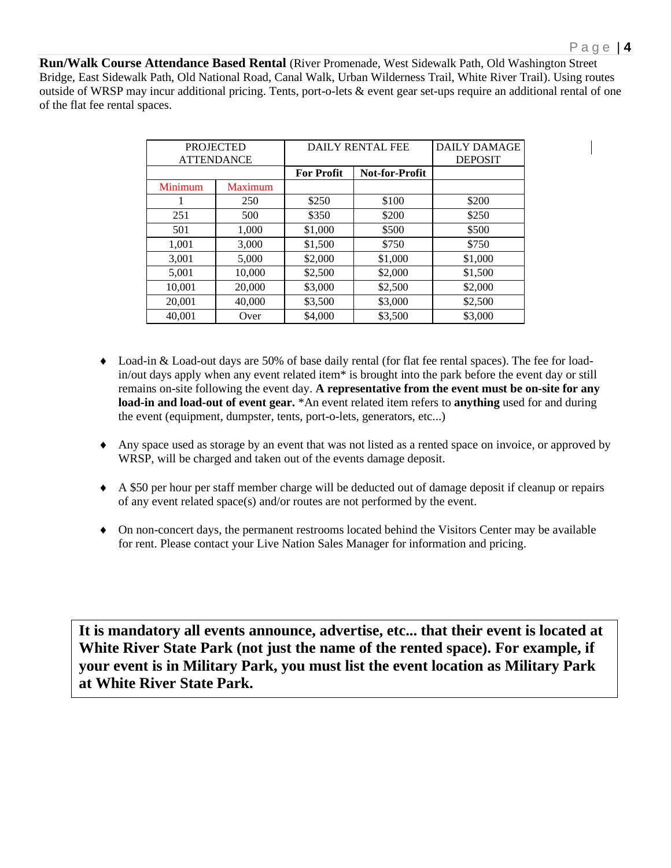**Run/Walk Course Attendance Based Rental** (River Promenade, West Sidewalk Path, Old Washington Street Bridge, East Sidewalk Path, Old National Road, Canal Walk, Urban Wilderness Trail, White River Trail). Using routes outside of WRSP may incur additional pricing. Tents, port-o-lets & event gear set-ups require an additional rental of one of the flat fee rental spaces.

|         | <b>PROJECTED</b>  | <b>DAILY RENTAL FEE</b> |                | <b>DAILY DAMAGE</b> |
|---------|-------------------|-------------------------|----------------|---------------------|
|         | <b>ATTENDANCE</b> |                         |                | <b>DEPOSIT</b>      |
|         |                   | <b>For Profit</b>       | Not-for-Profit |                     |
| Minimum | <b>Maximum</b>    |                         |                |                     |
|         | 250               | \$250                   | \$100          | \$200               |
| 251     | 500               | \$350                   | \$200          | \$250               |
| 501     | 1,000             | \$1,000                 | \$500          | \$500               |
| 1,001   | 3,000             | \$1,500                 | \$750          | \$750               |
| 3,001   | 5,000             | \$2,000                 | \$1,000        | \$1,000             |
| 5,001   | 10,000            | \$2,500                 | \$2,000        | \$1,500             |
| 10,001  | 20,000            | \$3,000                 | \$2,500        | \$2,000             |
| 20,001  | 40,000            | \$3,500                 | \$3,000        | \$2,500             |
| 40.001  | Over              | \$4,000                 | \$3,500        | \$3,000             |

- Load-in & Load-out days are 50% of base daily rental (for flat fee rental spaces). The fee for loadin/out days apply when any event related item\* is brought into the park before the event day or still remains on-site following the event day. **A representative from the event must be on-site for any load-in and load-out of event gear.** \*An event related item refers to **anything** used for and during the event (equipment, dumpster, tents, port-o-lets, generators, etc...)
- Any space used as storage by an event that was not listed as a rented space on invoice, or approved by WRSP, will be charged and taken out of the events damage deposit.
- A \$50 per hour per staff member charge will be deducted out of damage deposit if cleanup or repairs of any event related space(s) and/or routes are not performed by the event.
- On non-concert days, the permanent restrooms located behind the Visitors Center may be available for rent. Please contact your Live Nation Sales Manager for information and pricing.

**It is mandatory all events announce, advertise, etc... that their event is located at White River State Park (not just the name of the rented space). For example, if your event is in Military Park, you must list the event location as Military Park at White River State Park.**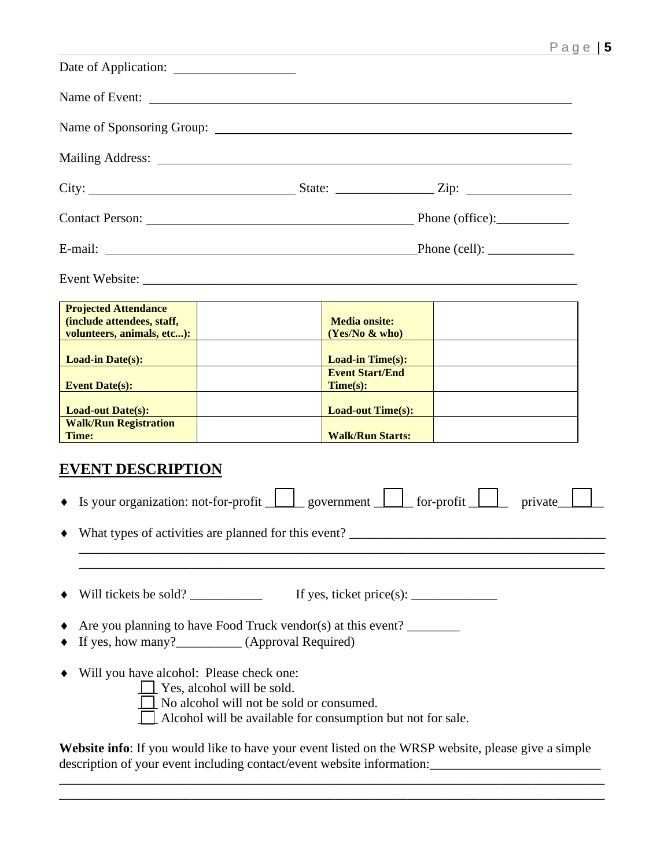| Name of Event:                                                                                                                                                                                                                                                                                                                                                                                                     |                                                                                                                                                             |                                                                                           |                                                                                                     |
|--------------------------------------------------------------------------------------------------------------------------------------------------------------------------------------------------------------------------------------------------------------------------------------------------------------------------------------------------------------------------------------------------------------------|-------------------------------------------------------------------------------------------------------------------------------------------------------------|-------------------------------------------------------------------------------------------|-----------------------------------------------------------------------------------------------------|
|                                                                                                                                                                                                                                                                                                                                                                                                                    |                                                                                                                                                             |                                                                                           |                                                                                                     |
|                                                                                                                                                                                                                                                                                                                                                                                                                    |                                                                                                                                                             |                                                                                           |                                                                                                     |
|                                                                                                                                                                                                                                                                                                                                                                                                                    |                                                                                                                                                             |                                                                                           |                                                                                                     |
|                                                                                                                                                                                                                                                                                                                                                                                                                    |                                                                                                                                                             |                                                                                           |                                                                                                     |
|                                                                                                                                                                                                                                                                                                                                                                                                                    |                                                                                                                                                             |                                                                                           |                                                                                                     |
|                                                                                                                                                                                                                                                                                                                                                                                                                    |                                                                                                                                                             |                                                                                           |                                                                                                     |
| <b>Projected Attendance</b><br>(include attendees, staff,<br>volunteers, animals, etc):                                                                                                                                                                                                                                                                                                                            |                                                                                                                                                             | <b>Media onsite:</b><br>(Yes/No & who)                                                    |                                                                                                     |
| <b>Load-in Date(s):</b><br>Event Date(s):                                                                                                                                                                                                                                                                                                                                                                          |                                                                                                                                                             | <b>Load-in Time(s):</b><br><b>Event Start/End</b><br>Time(s):                             |                                                                                                     |
| <b>Load-out Date(s):</b>                                                                                                                                                                                                                                                                                                                                                                                           |                                                                                                                                                             | Load-out Time(s):                                                                         |                                                                                                     |
| <b>Walk/Run Registration</b><br>Time:                                                                                                                                                                                                                                                                                                                                                                              |                                                                                                                                                             | <b>Walk/Run Starts:</b>                                                                   |                                                                                                     |
| <b>EVENT DESCRIPTION</b><br>• Is your organization: not-for-profit $\Box$ government $\Box$ for-profit<br>٠                                                                                                                                                                                                                                                                                                        | What types of activities are planned for this event?                                                                                                        |                                                                                           | private                                                                                             |
| Will tickets be sold? $\frac{1}{\sqrt{1-\frac{1}{\sqrt{1-\frac{1}{\sqrt{1-\frac{1}{\sqrt{1-\frac{1}{\sqrt{1-\frac{1}{\sqrt{1-\frac{1}{\sqrt{1-\frac{1}{\sqrt{1-\frac{1}{\sqrt{1-\frac{1}{\sqrt{1-\frac{1}{\sqrt{1-\frac{1}{\sqrt{1-\frac{1}{\sqrt{1-\frac{1}{\sqrt{1-\frac{1}{\sqrt{1-\frac{1}{\sqrt{1-\frac{1}{\sqrt{1-\frac{1}{\sqrt{1-\frac{1}{\sqrt{1-\frac{1}{\sqrt{1-\frac{1}{\sqrt{1-\frac{1}{\sqrt{1$<br>٠ | Are you planning to have Food Truck vendor(s) at this event?                                                                                                | If yes, ticket price(s): $\frac{1}{\sqrt{1-\frac{1}{2}}}\left  \frac{f(x)}{g(x)} \right $ |                                                                                                     |
| Will you have alcohol: Please check one:                                                                                                                                                                                                                                                                                                                                                                           | $\blacksquare$ Yes, alcohol will be sold.<br>No alcohol will not be sold or consumed.<br>$\Box$ Alcohol will be available for consumption but not for sale. |                                                                                           | Website info: If you would like to have your event listed on the WRSP website, please give a simple |
| description of your event including contact/event website information:                                                                                                                                                                                                                                                                                                                                             |                                                                                                                                                             |                                                                                           |                                                                                                     |

\_\_\_\_\_\_\_\_\_\_\_\_\_\_\_\_\_\_\_\_\_\_\_\_\_\_\_\_\_\_\_\_\_\_\_\_\_\_\_\_\_\_\_\_\_\_\_\_\_\_\_\_\_\_\_\_\_\_\_\_\_\_\_\_\_\_\_\_\_\_\_\_\_\_\_\_\_\_\_\_\_\_\_

\_\_\_\_\_\_\_\_\_\_\_\_\_\_\_\_\_\_\_\_\_\_\_\_\_\_\_\_\_\_\_\_\_\_\_\_\_\_\_\_\_\_\_\_\_\_\_\_\_\_\_\_\_\_\_\_\_\_\_\_\_\_\_\_\_\_\_\_\_\_\_\_\_\_\_\_\_\_\_\_\_\_\_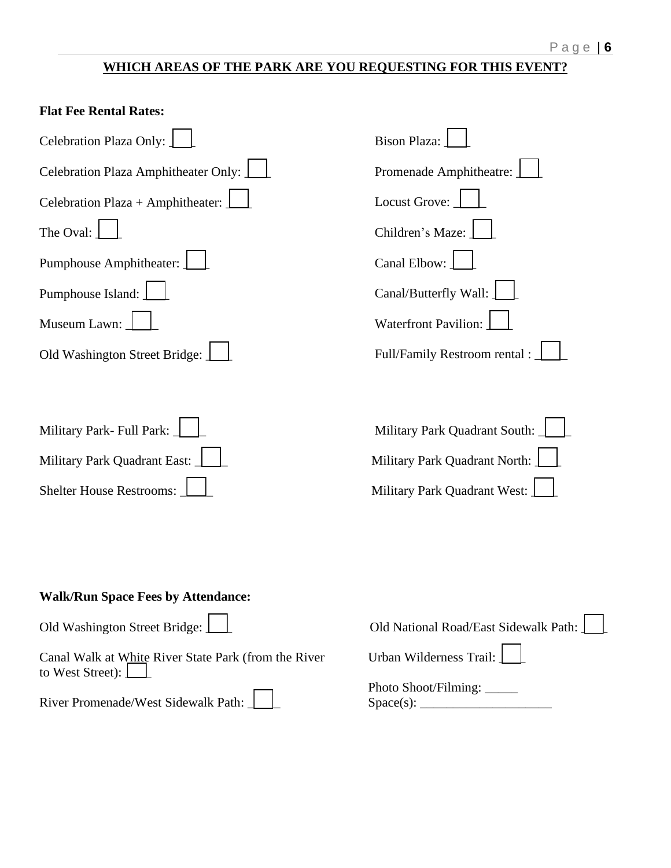## **WHICH AREAS OF THE PARK ARE YOU REQUESTING FOR THIS EVENT?**

| <b>Flat Fee Rental Rates:</b>                                                                                                                          |                                                                                                |
|--------------------------------------------------------------------------------------------------------------------------------------------------------|------------------------------------------------------------------------------------------------|
| Celebration Plaza Only:                                                                                                                                | <b>Bison Plaza:</b>                                                                            |
| Celebration Plaza Amphitheater Only:                                                                                                                   | Promenade Amphitheatre:                                                                        |
| Celebration Plaza + Amphitheater:                                                                                                                      | Locust Grove:                                                                                  |
| The Oval:                                                                                                                                              | Children's Maze:                                                                               |
| Pumphouse Amphitheater:                                                                                                                                | Canal Elbow:                                                                                   |
| Pumphouse Island:                                                                                                                                      | Canal/Butterfly Wall:                                                                          |
| Museum Lawn:                                                                                                                                           | <b>Waterfront Pavilion:</b>                                                                    |
| Old Washington Street Bridge:                                                                                                                          | Full/Family Restroom rental :                                                                  |
| Military Park- Full Park:<br>Military Park Quadrant East:<br>Shelter House Restrooms:                                                                  | Military Park Quadrant South:<br>Military Park Quadrant North:<br>Military Park Quadrant West: |
| <b>Walk/Run Space Fees by Attendance:</b><br>Old Washington Street Bridge:<br>Canal Walk at White River State Park (from the River<br>to West Street): | Old National Road/East Sidewalk Path:<br>Urban Wilderness Trail:<br>Photo Shoot/Filming: ____  |
| River Promenade/West Sidewalk Path:                                                                                                                    |                                                                                                |
|                                                                                                                                                        |                                                                                                |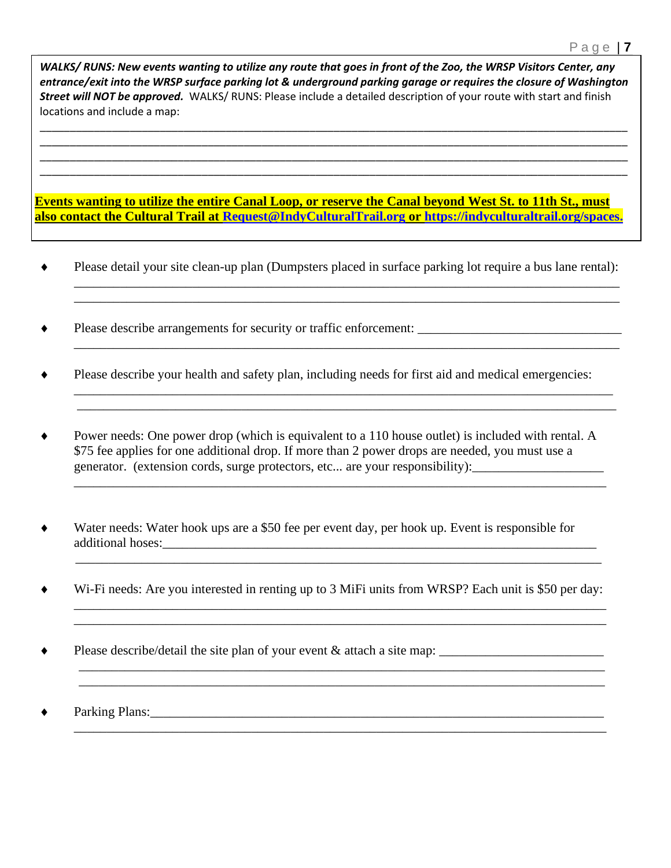*WALKS/ RUNS: New events wanting to utilize any route that goes in front of the Zoo, the WRSP Visitors Center, any entrance/exit into the WRSP surface parking lot & underground parking garage or requires the closure of Washington Street will NOT be approved.* WALKS/ RUNS: Please include a detailed description of your route with start and finish locations and include a map:

\_\_\_\_\_\_\_\_\_\_\_\_\_\_\_\_\_\_\_\_\_\_\_\_\_\_\_\_\_\_\_\_\_\_\_\_\_\_\_\_\_\_\_\_\_\_\_\_\_\_\_\_\_\_\_\_\_\_\_\_\_\_\_\_\_\_\_\_\_\_\_\_\_\_\_\_\_\_\_\_\_\_\_\_\_\_\_\_\_\_\_\_\_\_\_\_\_\_ \_\_\_\_\_\_\_\_\_\_\_\_\_\_\_\_\_\_\_\_\_\_\_\_\_\_\_\_\_\_\_\_\_\_\_\_\_\_\_\_\_\_\_\_\_\_\_\_\_\_\_\_\_\_\_\_\_\_\_\_\_\_\_\_\_\_\_\_\_\_\_\_\_\_\_\_\_\_\_\_\_\_\_\_\_\_\_\_\_\_\_\_\_\_\_\_\_\_ \_\_\_\_\_\_\_\_\_\_\_\_\_\_\_\_\_\_\_\_\_\_\_\_\_\_\_\_\_\_\_\_\_\_\_\_\_\_\_\_\_\_\_\_\_\_\_\_\_\_\_\_\_\_\_\_\_\_\_\_\_\_\_\_\_\_\_\_\_\_\_\_\_\_\_\_\_\_\_\_\_\_\_\_\_\_\_\_\_\_\_\_\_\_\_\_\_\_ \_\_\_\_\_\_\_\_\_\_\_\_\_\_\_\_\_\_\_\_\_\_\_\_\_\_\_\_\_\_\_\_\_\_\_\_\_\_\_\_\_\_\_\_\_\_\_\_\_\_\_\_\_\_\_\_\_\_\_\_\_\_\_\_\_\_\_\_\_\_\_\_\_\_\_\_\_\_\_\_\_\_\_\_\_\_\_\_\_\_\_\_\_\_\_\_\_\_

**Events wanting to utilize the entire Canal Loop, or reserve the Canal beyond West St. to 11th St., must also contact the Cultural Trail at [Request@IndyCulturalTrail.org](mailto:Request@IndyCulturalTrail.org) or [https://indyculturaltrail.org/spaces.](https://indyculturaltrail.org/spaces)**

 Please detail your site clean-up plan (Dumpsters placed in surface parking lot require a bus lane rental): \_\_\_\_\_\_\_\_\_\_\_\_\_\_\_\_\_\_\_\_\_\_\_\_\_\_\_\_\_\_\_\_\_\_\_\_\_\_\_\_\_\_\_\_\_\_\_\_\_\_\_\_\_\_\_\_\_\_\_\_\_\_\_\_\_\_\_\_\_\_\_\_\_\_\_\_\_\_\_\_\_\_\_

\_\_\_\_\_\_\_\_\_\_\_\_\_\_\_\_\_\_\_\_\_\_\_\_\_\_\_\_\_\_\_\_\_\_\_\_\_\_\_\_\_\_\_\_\_\_\_\_\_\_\_\_\_\_\_\_\_\_\_\_\_\_\_\_\_\_\_\_\_\_\_\_\_\_\_\_\_\_\_\_\_\_\_

\_\_\_\_\_\_\_\_\_\_\_\_\_\_\_\_\_\_\_\_\_\_\_\_\_\_\_\_\_\_\_\_\_\_\_\_\_\_\_\_\_\_\_\_\_\_\_\_\_\_\_\_\_\_\_\_\_\_\_\_\_\_\_\_\_\_\_\_\_\_\_\_\_\_\_\_\_\_\_\_\_\_\_

\_\_\_\_\_\_\_\_\_\_\_\_\_\_\_\_\_\_\_\_\_\_\_\_\_\_\_\_\_\_\_\_\_\_\_\_\_\_\_\_\_\_\_\_\_\_\_\_\_\_\_\_\_\_\_\_\_\_\_\_\_\_\_\_\_\_\_\_\_\_\_\_\_\_\_\_\_\_\_\_\_\_ \_\_\_\_\_\_\_\_\_\_\_\_\_\_\_\_\_\_\_\_\_\_\_\_\_\_\_\_\_\_\_\_\_\_\_\_\_\_\_\_\_\_\_\_\_\_\_\_\_\_\_\_\_\_\_\_\_\_\_\_\_\_\_\_\_\_\_\_\_\_\_\_\_\_\_\_\_\_\_\_\_\_

\_\_\_\_\_\_\_\_\_\_\_\_\_\_\_\_\_\_\_\_\_\_\_\_\_\_\_\_\_\_\_\_\_\_\_\_\_\_\_\_\_\_\_\_\_\_\_\_\_\_\_\_\_\_\_\_\_\_\_\_\_\_\_\_\_\_\_\_\_\_\_\_\_\_\_\_\_\_\_\_\_

- Please describe arrangements for security or traffic enforcement:
- Please describe your health and safety plan, including needs for first aid and medical emergencies:
- Power needs: One power drop (which is equivalent to a 110 house outlet) is included with rental. A \$75 fee applies for one additional drop. If more than 2 power drops are needed, you must use a generator. (extension cords, surge protectors, etc... are your responsibility):
- Water needs: Water hook ups are a \$50 fee per event day, per hook up. Event is responsible for additional hoses:
- Wi-Fi needs: Are you interested in renting up to 3 MiFi units from WRSP? Each unit is \$50 per day:

\_\_\_\_\_\_\_\_\_\_\_\_\_\_\_\_\_\_\_\_\_\_\_\_\_\_\_\_\_\_\_\_\_\_\_\_\_\_\_\_\_\_\_\_\_\_\_\_\_\_\_\_\_\_\_\_\_\_\_\_\_\_\_\_\_\_\_\_\_\_\_\_\_\_\_\_\_\_\_\_\_

\_\_\_\_\_\_\_\_\_\_\_\_\_\_\_\_\_\_\_\_\_\_\_\_\_\_\_\_\_\_\_\_\_\_\_\_\_\_\_\_\_\_\_\_\_\_\_\_\_\_\_\_\_\_\_\_\_\_\_\_\_\_\_\_\_\_\_\_\_\_\_\_\_\_\_\_\_\_\_\_ \_\_\_\_\_\_\_\_\_\_\_\_\_\_\_\_\_\_\_\_\_\_\_\_\_\_\_\_\_\_\_\_\_\_\_\_\_\_\_\_\_\_\_\_\_\_\_\_\_\_\_\_\_\_\_\_\_\_\_\_\_\_\_\_\_\_\_\_\_\_\_\_\_\_\_\_\_\_\_\_

\_\_\_\_\_\_\_\_\_\_\_\_\_\_\_\_\_\_\_\_\_\_\_\_\_\_\_\_\_\_\_\_\_\_\_\_\_\_\_\_\_\_\_\_\_\_\_\_\_\_\_\_\_\_\_\_\_\_\_\_\_\_\_\_\_\_\_\_\_\_\_\_\_\_\_\_\_\_\_\_\_

\_\_\_\_\_\_\_\_\_\_\_\_\_\_\_\_\_\_\_\_\_\_\_\_\_\_\_\_\_\_\_\_\_\_\_\_\_\_\_\_\_\_\_\_\_\_\_\_\_\_\_\_\_\_\_\_\_\_\_\_\_\_\_\_\_\_\_\_\_\_\_\_\_\_\_\_\_\_\_\_

Please describe/detail the site plan of your event & attach a site map: \_\_\_\_\_\_\_\_\_\_\_\_\_\_\_\_\_\_\_\_\_\_\_\_\_

 $\blacklozenge$  Parking Plans: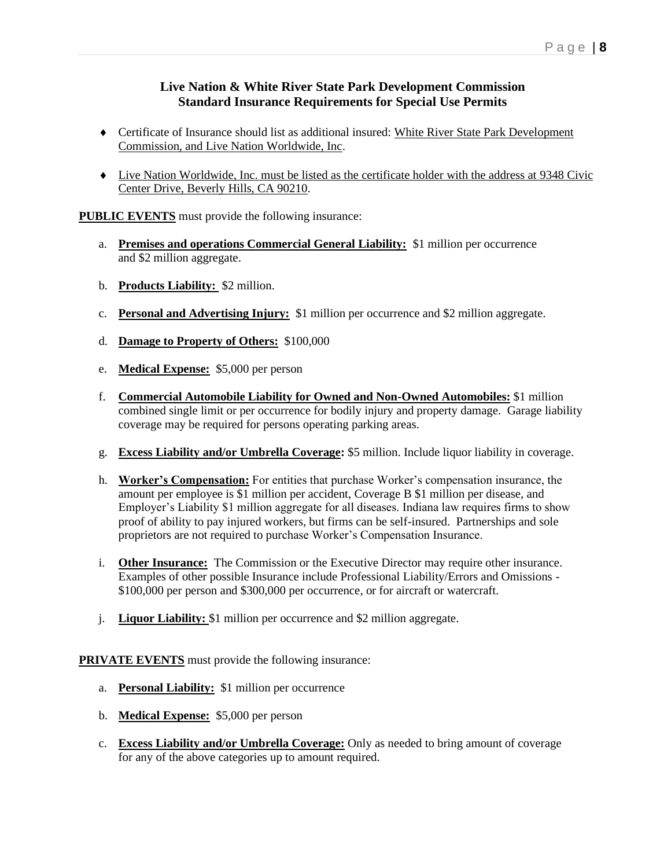#### **Live Nation & White River State Park Development Commission Standard Insurance Requirements for Special Use Permits**

- Certificate of Insurance should list as additional insured: White River State Park Development Commission, and Live Nation Worldwide, Inc.
- Live Nation Worldwide, Inc. must be listed as the certificate holder with the address at 9348 Civic Center Drive, Beverly Hills, CA 90210.

**PUBLIC EVENTS** must provide the following insurance:

- a. **Premises and operations Commercial General Liability:** \$1 million per occurrence and \$2 million aggregate.
- b. **Products Liability:** \$2 million.
- c. **Personal and Advertising Injury:** \$1 million per occurrence and \$2 million aggregate.
- d. **Damage to Property of Others:** \$100,000
- e. **Medical Expense:** \$5,000 per person
- f. **Commercial Automobile Liability for Owned and Non-Owned Automobiles:** \$1 million combined single limit or per occurrence for bodily injury and property damage. Garage liability coverage may be required for persons operating parking areas.
- g. **Excess Liability and/or Umbrella Coverage:** \$5 million. Include liquor liability in coverage.
- h. **Worker's Compensation:** For entities that purchase Worker's compensation insurance, the amount per employee is \$1 million per accident, Coverage B \$1 million per disease, and Employer's Liability \$1 million aggregate for all diseases. Indiana law requires firms to show proof of ability to pay injured workers, but firms can be self-insured. Partnerships and sole proprietors are not required to purchase Worker's Compensation Insurance.
- i. **Other Insurance:** The Commission or the Executive Director may require other insurance. Examples of other possible Insurance include Professional Liability/Errors and Omissions - \$100,000 per person and \$300,000 per occurrence, or for aircraft or watercraft.
- j. **Liquor Liability:** \$1 million per occurrence and \$2 million aggregate.

**PRIVATE EVENTS** must provide the following insurance:

- a. **Personal Liability:** \$1 million per occurrence
- b. **Medical Expense:** \$5,000 per person
- c. **Excess Liability and/or Umbrella Coverage:** Only as needed to bring amount of coverage for any of the above categories up to amount required.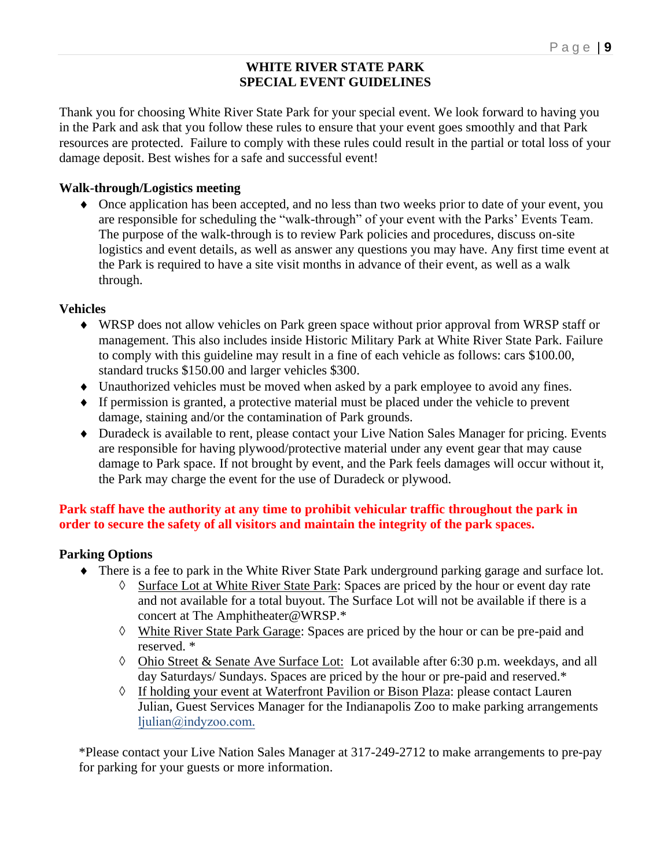### **WHITE RIVER STATE PARK SPECIAL EVENT GUIDELINES**

Thank you for choosing White River State Park for your special event. We look forward to having you in the Park and ask that you follow these rules to ensure that your event goes smoothly and that Park resources are protected. Failure to comply with these rules could result in the partial or total loss of your damage deposit. Best wishes for a safe and successful event!

### **Walk-through/Logistics meeting**

 Once application has been accepted, and no less than two weeks prior to date of your event, you are responsible for scheduling the "walk-through" of your event with the Parks' Events Team. The purpose of the walk-through is to review Park policies and procedures, discuss on-site logistics and event details, as well as answer any questions you may have. Any first time event at the Park is required to have a site visit months in advance of their event, as well as a walk through.

### **Vehicles**

- WRSP does not allow vehicles on Park green space without prior approval from WRSP staff or management. This also includes inside Historic Military Park at White River State Park. Failure to comply with this guideline may result in a fine of each vehicle as follows: cars \$100.00, standard trucks \$150.00 and larger vehicles \$300.
- Unauthorized vehicles must be moved when asked by a park employee to avoid any fines.
- If permission is granted, a protective material must be placed under the vehicle to prevent damage, staining and/or the contamination of Park grounds.
- Duradeck is available to rent, please contact your Live Nation Sales Manager for pricing. Events are responsible for having plywood/protective material under any event gear that may cause damage to Park space. If not brought by event, and the Park feels damages will occur without it, the Park may charge the event for the use of Duradeck or plywood.

## **Park staff have the authority at any time to prohibit vehicular traffic throughout the park in order to secure the safety of all visitors and maintain the integrity of the park spaces.**

### **Parking Options**

- There is a fee to park in the White River State Park underground parking garage and surface lot.
	- ◊ Surface Lot at White River State Park: Spaces are priced by the hour or event day rate and not available for a total buyout. The Surface Lot will not be available if there is a concert at The Amphitheater@WRSP.\*
	- ◊ White River State Park Garage: Spaces are priced by the hour or can be pre-paid and reserved. \*
	- ◊ Ohio Street & Senate Ave Surface Lot: Lot available after 6:30 p.m. weekdays, and all day Saturdays/ Sundays. Spaces are priced by the hour or pre-paid and reserved.\*
	- ◊ If holding your event at Waterfront Pavilion or Bison Plaza: please contact Lauren Julian, Guest Services Manager for the Indianapolis Zoo to make parking arrangements ljulian@indyzoo.com.

\*Please contact your Live Nation Sales Manager at 317-249-2712 to make arrangements to pre-pay for parking for your guests or more information.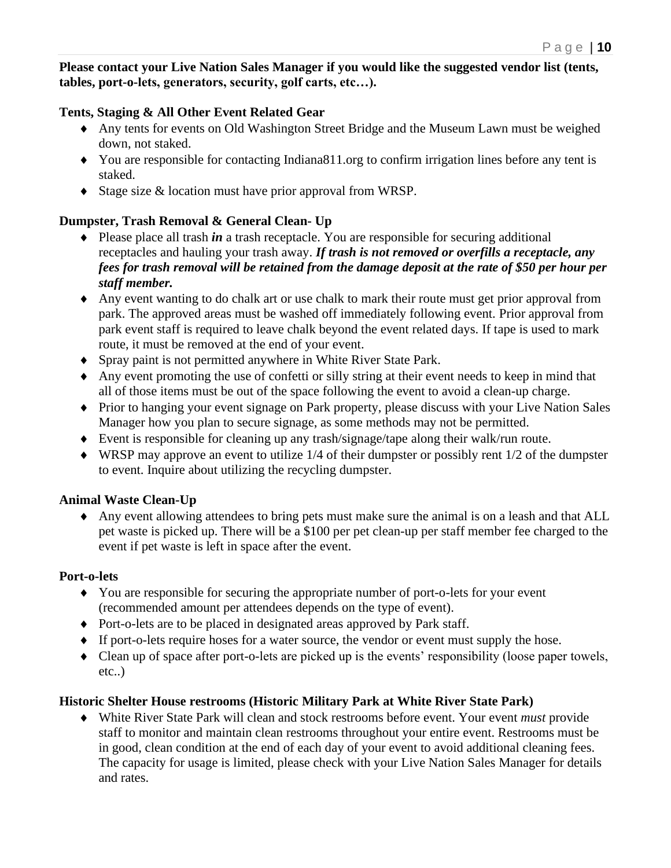**Please contact your Live Nation Sales Manager if you would like the suggested vendor list (tents, tables, port-o-lets, generators, security, golf carts, etc…).**

### **Tents, Staging & All Other Event Related Gear**

- Any tents for events on Old Washington Street Bridge and the Museum Lawn must be weighed down, not staked.
- You are responsible for contacting Indiana811.org to confirm irrigation lines before any tent is staked.
- $\bullet$  Stage size & location must have prior approval from WRSP.

## **Dumpster, Trash Removal & General Clean- Up**

- Please place all trash *in* a trash receptacle. You are responsible for securing additional receptacles and hauling your trash away. *If trash is not removed or overfills a receptacle, any fees for trash removal will be retained from the damage deposit at the rate of \$50 per hour per staff member.*
- Any event wanting to do chalk art or use chalk to mark their route must get prior approval from park. The approved areas must be washed off immediately following event. Prior approval from park event staff is required to leave chalk beyond the event related days. If tape is used to mark route, it must be removed at the end of your event.
- Spray paint is not permitted anywhere in White River State Park.
- Any event promoting the use of confetti or silly string at their event needs to keep in mind that all of those items must be out of the space following the event to avoid a clean-up charge.
- Prior to hanging your event signage on Park property, please discuss with your Live Nation Sales Manager how you plan to secure signage, as some methods may not be permitted.
- Event is responsible for cleaning up any trash/signage/tape along their walk/run route.
- $\blacklozenge$  WRSP may approve an event to utilize 1/4 of their dumpster or possibly rent 1/2 of the dumpster to event. Inquire about utilizing the recycling dumpster.

### **Animal Waste Clean-Up**

 Any event allowing attendees to bring pets must make sure the animal is on a leash and that ALL pet waste is picked up. There will be a \$100 per pet clean-up per staff member fee charged to the event if pet waste is left in space after the event.

### **Port-o-lets**

- You are responsible for securing the appropriate number of port-o-lets for your event (recommended amount per attendees depends on the type of event).
- Port-o-lets are to be placed in designated areas approved by Park staff.
- If port-o-lets require hoses for a water source, the vendor or event must supply the hose.
- Clean up of space after port-o-lets are picked up is the events' responsibility (loose paper towels, etc..)

### **Historic Shelter House restrooms (Historic Military Park at White River State Park)**

 White River State Park will clean and stock restrooms before event. Your event *must* provide staff to monitor and maintain clean restrooms throughout your entire event. Restrooms must be in good, clean condition at the end of each day of your event to avoid additional cleaning fees. The capacity for usage is limited, please check with your Live Nation Sales Manager for details and rates.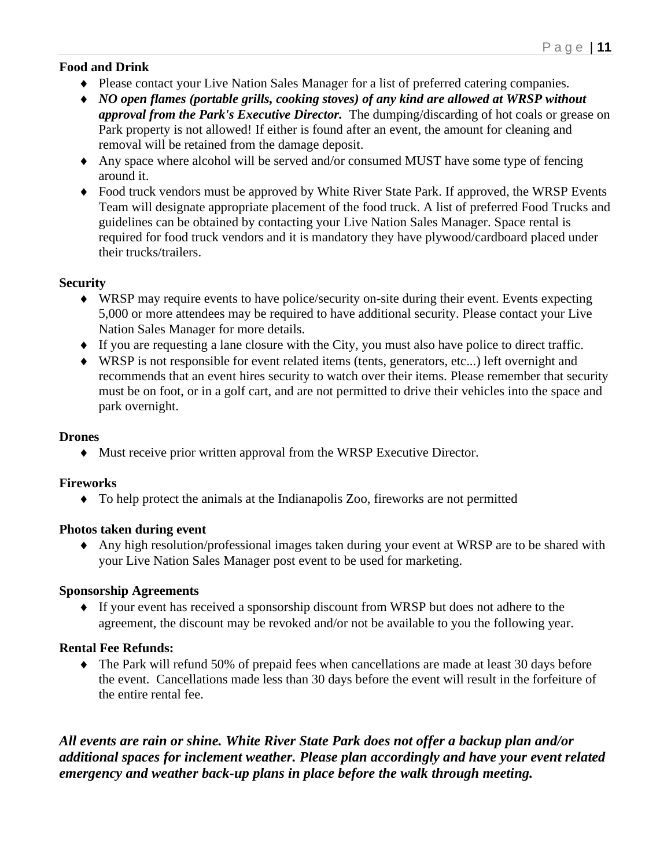### **Food and Drink**

- Please contact your Live Nation Sales Manager for a list of preferred catering companies.
- *NO open flames (portable grills, cooking stoves) of any kind are allowed at WRSP without approval from the Park's Executive Director.* The dumping/discarding of hot coals or grease on Park property is not allowed! If either is found after an event, the amount for cleaning and removal will be retained from the damage deposit.
- Any space where alcohol will be served and/or consumed MUST have some type of fencing around it.
- Food truck vendors must be approved by White River State Park. If approved, the WRSP Events Team will designate appropriate placement of the food truck. A list of preferred Food Trucks and guidelines can be obtained by contacting your Live Nation Sales Manager. Space rental is required for food truck vendors and it is mandatory they have plywood/cardboard placed under their trucks/trailers.

### **Security**

- WRSP may require events to have police/security on-site during their event. Events expecting 5,000 or more attendees may be required to have additional security. Please contact your Live Nation Sales Manager for more details.
- If you are requesting a lane closure with the City, you must also have police to direct traffic.
- WRSP is not responsible for event related items (tents, generators, etc...) left overnight and recommends that an event hires security to watch over their items. Please remember that security must be on foot, or in a golf cart, and are not permitted to drive their vehicles into the space and park overnight.

### **Drones**

Must receive prior written approval from the WRSP Executive Director.

### **Fireworks**

To help protect the animals at the Indianapolis Zoo, fireworks are not permitted

### **Photos taken during event**

 Any high resolution/professional images taken during your event at WRSP are to be shared with your Live Nation Sales Manager post event to be used for marketing.

### **Sponsorship Agreements**

 If your event has received a sponsorship discount from WRSP but does not adhere to the agreement, the discount may be revoked and/or not be available to you the following year.

## **Rental Fee Refunds:**

 The Park will refund 50% of prepaid fees when cancellations are made at least 30 days before the event. Cancellations made less than 30 days before the event will result in the forfeiture of the entire rental fee.

*All events are rain or shine. White River State Park does not offer a backup plan and/or additional spaces for inclement weather. Please plan accordingly and have your event related emergency and weather back-up plans in place before the walk through meeting.*